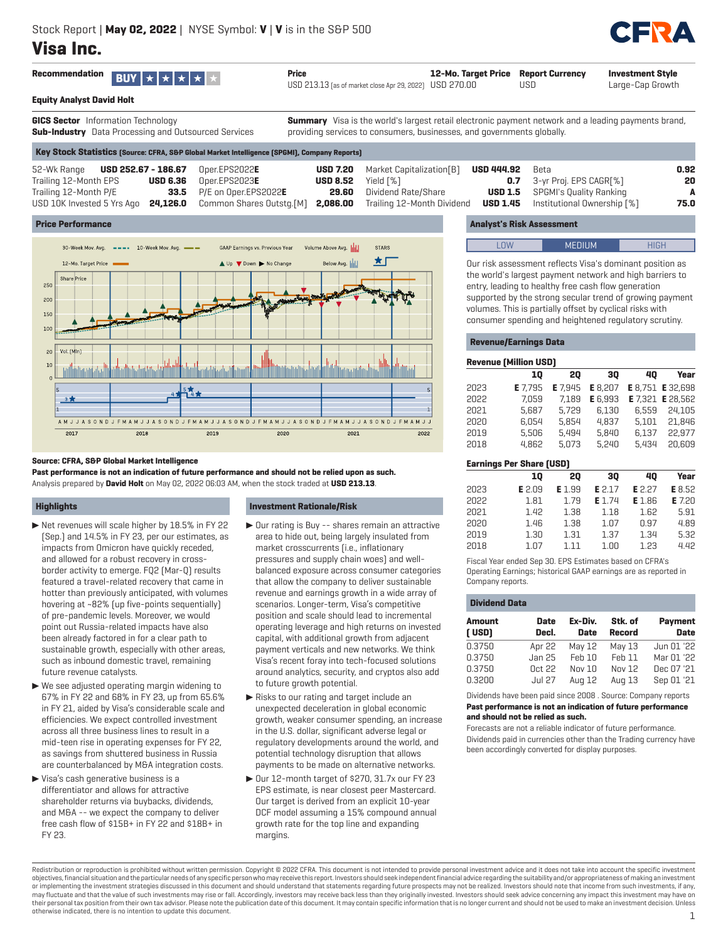# **Visa Inc.**



USD 213.13 (as of market close Apr 29, 2022) USD 270.00 **12-Mo. Target Price Report Currency** USD

**HPT** 

**Investment Style** Large-Cap Growth

|  | <b>Equity Analyst David Holt</b> |
|--|----------------------------------|
|--|----------------------------------|

**GICS Sector** Information Technology **Sub-Industry** Data Processing and Outsourced Services

**Summary** Visa is the world's largest retail electronic payment network and a leading payments brand, providing services to consumers, businesses, and governments globally.

| [Key Stock Statistics [Source: CFRA, S&P Global Market Intelligence [SPGMI], Company Reports] |  |
|-----------------------------------------------------------------------------------------------|--|
|-----------------------------------------------------------------------------------------------|--|

| 52-Wk Range <b>USD 252.67 - 186.67</b> Oper.EPS2022E                                             |                                    |                                         | <b>USD 7.20</b> Market Capitalization[B] | <b>USD 444.92</b> | Beta                                        | 0.92 |
|--------------------------------------------------------------------------------------------------|------------------------------------|-----------------------------------------|------------------------------------------|-------------------|---------------------------------------------|------|
| Trailing 12-Month EPS                                                                            | $\textsf{USD}\ 6.36$ Oper.EPS2023E | <b>USD 8.52</b> Yield $\lceil\% \rceil$ |                                          |                   | <b>0.7</b> 3-yr Proj. EPS CAGR[%]           | 20   |
| Trailing 12-Month P/E                                                                            | <b>33.5</b> P/E on Oper.EPS2022E   |                                         | <b>29.60</b> Dividend Rate/Share         |                   | <b>USD 1.5</b> SPGMI's Quality Ranking      | A    |
| USD 10K Invested 5 Yrs Ago 24,126.0 Common Shares Outstg.[M] 2,086.00 Trailing 12-Month Dividend |                                    |                                         |                                          |                   | <b>USD 1.45</b> Institutional Ownership [%] | 75.0 |

#### **Price Performance**



#### **Source: CFRA, S&P Global Market Intelligence**

**Past performance is not an indication of future performance and should not be relied upon as such.** Analysis prepared by **David Holt** on May 02, 2022 06:03 AM, when the stock traded at **USD 213.13**.

# **Highlights**

- $\blacktriangleright$  Net revenues will scale higher by 18.5% in FY 22 (Sep.) and 14.5% in FY 23, per our estimates, as impacts from Omicron have quickly receded, and allowed for a robust recovery in crossborder activity to emerge. FQ2 (Mar-Q) results featured a travel-related recovery that came in hotter than previously anticipated, with volumes hovering at ~82% (up five-points sequentially) of pre-pandemic levels. Moreover, we would point out Russia-related impacts have also been already factored in for a clear path to sustainable growth, especially with other areas, such as inbound domestic travel, remaining future revenue catalysts.
- $\blacktriangleright$  We see adjusted operating margin widening to 67% in FY 22 and 68% in FY 23, up from 65.6% in FY 21, aided by Visa's considerable scale and efficiencies. We expect controlled investment across all three business lines to result in a mid-teen rise in operating expenses for FY 22, as savings from shuttered business in Russia are counterbalanced by M&A integration costs.
- $\blacktriangleright$  Visa's cash generative business is a differentiator and allows for attractive shareholder returns via buybacks, dividends, and M&A -- we expect the company to deliver free cash flow of \$15B+ in FY 22 and \$18B+ in FY 23.

#### **Investment Rationale/Risk**

- $\triangleright$  Our rating is Buy -- shares remain an attractive area to hide out, being largely insulated from market crosscurrents (i.e., inflationary pressures and supply chain woes) and wellbalanced exposure across consumer categories that allow the company to deliver sustainable revenue and earnings growth in a wide array of scenarios. Longer-term, Visa's competitive position and scale should lead to incremental operating leverage and high returns on invested capital, with additional growth from adjacent payment verticals and new networks. We think Visa's recent foray into tech-focused solutions around analytics, security, and cryptos also add to future growth potential.
- $\blacktriangleright$  Risks to our rating and target include an unexpected deceleration in global economic growth, weaker consumer spending, an increase in the U.S. dollar, significant adverse legal or regulatory developments around the world, and potential technology disruption that allows payments to be made on alternative networks.
- $\triangleright$  Our 12-month target of \$270, 31.7x our FY 23 EPS estimate, is near closest peer Mastercard. Our target is derived from an explicit 10-year DCF model assuming a 15% compound annual growth rate for the top line and expanding margins.

# **Analyst's Risk Assessment**

| I | ـ |  |
|---|---|--|
|   |   |  |

Our risk assessment reflects Visa's dominant position as the world's largest payment network and high barriers to entry, leading to healthy free cash flow generation supported by the strong secular trend of growing payment volumes. This is partially offset by cyclical risks with consumer spending and heightened regulatory scrutiny.

#### **Revenue/Earnings Data**

#### **Revenue (Million USD)**

|      | 10      | 20      | 30      | 40    | Year                           |
|------|---------|---------|---------|-------|--------------------------------|
| 2023 | E 7.795 | E 7.945 | E 8,207 |       | <b>E</b> 8.751 <b>E</b> 32.698 |
| 2022 | 7.059   | 7.189   | E 6.993 |       | <b>E</b> 7.321 <b>E</b> 28.562 |
| 2021 | 5.687   | 5.729   | 6,130   | 6.559 | 24.105                         |
| 2020 | 6.054   | 5.854   | 4.837   | 5.101 | 21.846                         |
| 2019 | 5.506   | 5.494   | 5.840   | 6.137 | 22.977                         |
| 2018 | 4.862   | 5.073   | 5.240   | 5.434 | 20.609                         |
|      |         |         |         |       |                                |

| <b>Earnings Per Share (USD)</b> |        |        |        |        |        |  |  |
|---------------------------------|--------|--------|--------|--------|--------|--|--|
|                                 | 10     | 20     | 30     | 40     | Year   |  |  |
| 2023                            | E 2.09 | E 1.99 | E 2.17 | E 2.27 | E 8.52 |  |  |
| 2022                            | 1.81   | 1.79   | E 1.74 | E 1.86 | E 7.20 |  |  |
| 2021                            | 1.42   | 1.38   | 1.18   | 1.62   | 5.91   |  |  |
| 2020                            | 1.46   | 1.38   | 1.07   | 0.97   | 4.89   |  |  |
| 2019                            | 1.30   | 1.31   | 1.37   | 1.34   | 5.32   |  |  |
| 2018                            | 1.07   | 1 1 1  | 1.00   | 1.23   | 4.42   |  |  |

Fiscal Year ended Sep 30. EPS Estimates based on CFRA's Operating Earnings; historical GAAP earnings are as reported in Company reports.

#### **Dividend Data**

| <b>Amount</b><br>[USD] | <b>Date</b><br>Decl. | Ex-Div.<br><b>Date</b> | Stk. of<br><b>Record</b> | <b>Payment</b><br><b>Date</b> |
|------------------------|----------------------|------------------------|--------------------------|-------------------------------|
| 0.3750                 | Apr 22               | May 12                 | May 13                   | Jun 01 '22                    |
| 0.3750                 | Jan 25               | Feb 10                 | Feb 11                   | Mar 01 '22                    |
| 0.3750                 | 0ct22                | Nov 10                 | Nov 12                   | Dec 07 '21                    |
| 0.3200                 | <b>Jul 27</b>        | Aug 12                 | Aug 13                   | Sep 01 '21                    |

Dividends have been paid since 2008 . Source: Company reports **Past performance is not an indication of future performance and should not be relied as such.**

Forecasts are not a reliable indicator of future performance. Dividends paid in currencies other than the Trading currency have been accordingly converted for display purposes.

Redistribution or reproduction is prohibited without written permission. Copyright © 2022 CFRA. This document is not intended to provide personal investment advice and it does not take into account the specific investment objectives, financial situation and the particular needs of any specific person who may receive this report. Investors should seek independent financial advice regarding the suitability and/or appropriateness of making an or implementing the investment strategies discussed in this document and should understand that statements regarding future prospects may not be realized. Investors should note that income from such investments, if any, may fluctuate and that the value of such investments may rise or fall. Accordingly, investors may receive back less than they originally invested. Investors should seek advice concerning any impact this investment may have their personal tax position from their own tax advisor. Please note the publication date of this document. It may contain specific information that is no longer current and should not be used to make an investment decision otherwise indicated, there is no intention to update this document. 1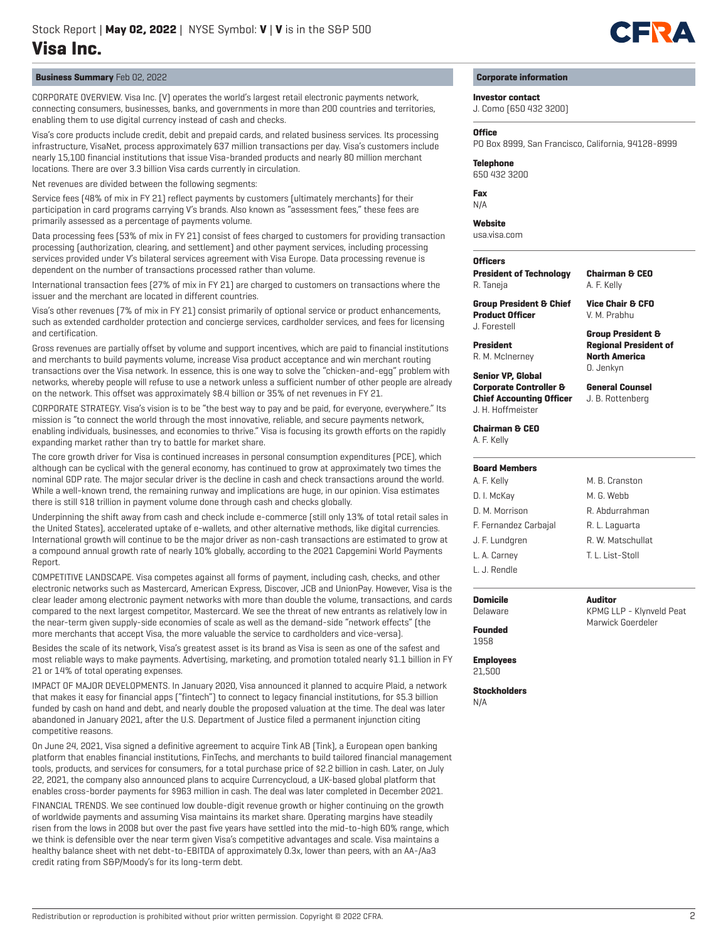

# **Business Summary** Feb 02, 2022

CORPORATE OVERVIEW. Visa Inc. (V) operates the world's largest retail electronic payments network, connecting consumers, businesses, banks, and governments in more than 200 countries and territories, enabling them to use digital currency instead of cash and checks.

Visa's core products include credit, debit and prepaid cards, and related business services. Its processing infrastructure, VisaNet, process approximately 637 million transactions per day. Visa's customers include nearly 15,100 financial institutions that issue Visa-branded products and nearly 80 million merchant locations. There are over 3.3 billion Visa cards currently in circulation.

Net revenues are divided between the following segments:

Service fees (48% of mix in FY 21) reflect payments by customers (ultimately merchants) for their participation in card programs carrying V's brands. Also known as "assessment fees," these fees are primarily assessed as a percentage of payments volume.

Data processing fees (53% of mix in FY 21) consist of fees charged to customers for providing transaction processing (authorization, clearing, and settlement) and other payment services, including processing services provided under V's bilateral services agreement with Visa Europe. Data processing revenue is dependent on the number of transactions processed rather than volume.

International transaction fees (27% of mix in FY 21) are charged to customers on transactions where the issuer and the merchant are located in different countries.

Visa's other revenues (7% of mix in FY 21) consist primarily of optional service or product enhancements, such as extended cardholder protection and concierge services, cardholder services, and fees for licensing and certification.

Gross revenues are partially offset by volume and support incentives, which are paid to financial institutions and merchants to build payments volume, increase Visa product acceptance and win merchant routing transactions over the Visa network. In essence, this is one way to solve the "chicken-and-egg" problem with networks, whereby people will refuse to use a network unless a sufficient number of other people are already on the network. This offset was approximately \$8.4 billion or 35% of net revenues in FY 21.

CORPORATE STRATEGY. Visa's vision is to be "the best way to pay and be paid, for everyone, everywhere." Its mission is "to connect the world through the most innovative, reliable, and secure payments network, enabling individuals, businesses, and economies to thrive." Visa is focusing its growth efforts on the rapidly expanding market rather than try to battle for market share.

The core growth driver for Visa is continued increases in personal consumption expenditures (PCE), which although can be cyclical with the general economy, has continued to grow at approximately two times the nominal GDP rate. The major secular driver is the decline in cash and check transactions around the world. While a well-known trend, the remaining runway and implications are huge, in our opinion. Visa estimates there is still \$18 trillion in payment volume done through cash and checks globally.

Underpinning the shift away from cash and check include e-commerce (still only 13% of total retail sales in the United States), accelerated uptake of e-wallets, and other alternative methods, like digital currencies. International growth will continue to be the major driver as non-cash transactions are estimated to grow at a compound annual growth rate of nearly 10% globally, according to the 2021 Capgemini World Payments Report.

COMPETITIVE LANDSCAPE. Visa competes against all forms of payment, including cash, checks, and other electronic networks such as Mastercard, American Express, Discover, JCB and UnionPay. However, Visa is the clear leader among electronic payment networks with more than double the volume, transactions, and cards compared to the next largest competitor, Mastercard. We see the threat of new entrants as relatively low in the near-term given supply-side economies of scale as well as the demand-side "network effects" (the more merchants that accept Visa, the more valuable the service to cardholders and vice-versa).

Besides the scale of its network, Visa's greatest asset is its brand as Visa is seen as one of the safest and most reliable ways to make payments. Advertising, marketing, and promotion totaled nearly \$1.1 billion in FY 21 or 14% of total operating expenses.

IMPACT OF MAJOR DEVELOPMENTS. In January 2020, Visa announced it planned to acquire Plaid, a network that makes it easy for financial apps ("fintech") to connect to legacy financial institutions, for \$5.3 billion funded by cash on hand and debt, and nearly double the proposed valuation at the time. The deal was later abandoned in January 2021, after the U.S. Department of Justice filed a permanent injunction citing competitive reasons.

On June 24, 2021, Visa signed a definitive agreement to acquire Tink AB (Tink), a European open banking platform that enables financial institutions, FinTechs, and merchants to build tailored financial management tools, products, and services for consumers, for a total purchase price of \$2.2 billion in cash. Later, on July 22, 2021, the company also announced plans to acquire Currencycloud, a UK-based global platform that enables cross-border payments for \$963 million in cash. The deal was later completed in December 2021.

FINANCIAL TRENDS. We see continued low double-digit revenue growth or higher continuing on the growth of worldwide payments and assuming Visa maintains its market share. Operating margins have steadily risen from the lows in 2008 but over the past five years have settled into the mid-to-high 60% range, which we think is defensible over the near term given Visa's competitive advantages and scale. Visa maintains a healthy balance sheet with net debt-to-EBITDA of approximately 0.3x, lower than peers, with an AA-/Aa3 credit rating from S&P/Moody's for its long-term debt.

**Corporate information**

# **Investor contact**

J. Como (650 432 3200)

#### **Office**

PO Box 8999, San Francisco, California, 94128-8999

**Telephone**

650 432 3200

**Fax** N/A

**Website**

usa.visa.com

# **Officers**

**President** R. M. McInerney

**President of Technology** R. Taneja

**Chairman & CEO** A. F. Kelly

**Group President & Chief Product Officer** J. Forestell

**Vice Chair & CFO** V. M. Prabhu

**Group President & Regional President of North America** O. Jenkyn

**General Counsel** J. B. Rottenberg

**Senior VP, Global Corporate Controller & Chief Accounting Officer** J. H. Hoffmeister

**Chairman & CEO**

A. F. Kelly

**Board Members** A. F. Kelly D. I. McKay D. M. Morrison

J. F. Lundgren L. A. Carney L. J. Rendle

# F. Fernandez Carbajal M. B. Cranston M. G. Webb R. Abdurrahman R. L. Laguarta R. W. Matschullat T. L. List-Stoll

**Auditor**

KPMG LLP - Klynveld Peat Marwick Goerdeler

**Domicile**

Delaware

**Founded**

1958

**Employees** 21,500

**Stockholders** N/A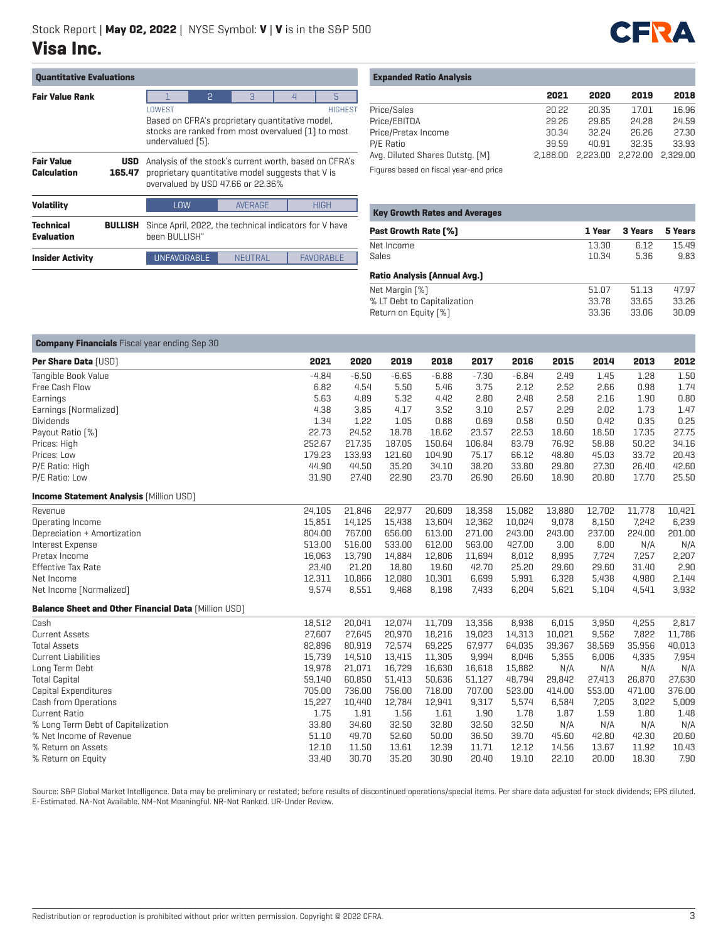

| <b>Ouantitative Evaluations</b>       |                      |                                                                                                                                                                                        |                                                                                                                                                  |                |  |                  |  |  |
|---------------------------------------|----------------------|----------------------------------------------------------------------------------------------------------------------------------------------------------------------------------------|--------------------------------------------------------------------------------------------------------------------------------------------------|----------------|--|------------------|--|--|
| <b>Fair Value Rank</b>                |                      | 2<br>5<br>3<br>$\overline{4}$<br>LOWEST<br><b>HIGHEST</b><br>Based on CFRA's proprietary quantitative model,<br>stocks are ranked from most overvalued [1] to most<br>undervalued [5]. |                                                                                                                                                  |                |  |                  |  |  |
| <b>Fair Value</b><br>Calculation      | <b>USD</b><br>165.47 |                                                                                                                                                                                        | Analysis of the stock's current worth, based on CFRA's<br>proprietary quantitative model suggests that V is<br>overvalued by USD 47.66 or 22.36% |                |  |                  |  |  |
| <b>Volatility</b>                     |                      | LOW                                                                                                                                                                                    | <b>AVERAGE</b><br><b>HIGH</b>                                                                                                                    |                |  |                  |  |  |
| <b>Technical</b><br><b>Evaluation</b> | <b>BULLISH</b>       |                                                                                                                                                                                        | Since April, 2022, the technical indicators for V have<br>been BULLISH"                                                                          |                |  |                  |  |  |
| <b>Insider Activity</b>               |                      | <b>UNFAVORABLE</b>                                                                                                                                                                     |                                                                                                                                                  | <b>NEUTRAL</b> |  | <b>FAVORABLE</b> |  |  |

| <b>Expanded Ratio Analysis</b> |  |  |  |
|--------------------------------|--|--|--|
|--------------------------------|--|--|--|

|                                 | 2021  | 2020  | 2019  | 2018  |
|---------------------------------|-------|-------|-------|-------|
|                                 |       |       |       |       |
| Price/Sales                     | 20.22 | 20.35 | 17.01 | 16.96 |
| Price/EBITDA                    | 29.26 | 29.85 | 24.28 | 24.59 |
| Price/Pretax Income             | 30.34 | 32.24 | 26.26 | 27.30 |
| P/E Ratio                       | 39.59 | 40.91 | 32.35 | 33.93 |
| Avg. Diluted Shares Outstg. (M) |       |       |       |       |
|                                 |       |       |       |       |

Figures based on fiscal year-end price

| <b>Key Growth Rates and Averages</b> |        |         |         |  |  |  |  |  |
|--------------------------------------|--------|---------|---------|--|--|--|--|--|
| <b>Past Growth Rate [%]</b>          | 1 Year | 3 Years | 5 Years |  |  |  |  |  |
| Net Income                           | 13.30  | 6.12    | 15.49   |  |  |  |  |  |
| Sales                                | 10.34  | 5.36    | 9.83    |  |  |  |  |  |
| <b>Ratio Analysis (Annual Avg.)</b>  |        |         |         |  |  |  |  |  |
| Net Margin [%]                       | 51.07  | 51.13   | 47.97   |  |  |  |  |  |
| % LT Debt to Capitalization          | 33.78  | 33.65   | 33.26   |  |  |  |  |  |
| Return on Equity [%]                 | 33.36  | 33.06   | 30.09   |  |  |  |  |  |

| <b>Company Financials</b> Fiscal year ending Sep 30         |         |         |         |         |         |         |        |        |        |        |
|-------------------------------------------------------------|---------|---------|---------|---------|---------|---------|--------|--------|--------|--------|
| Per Share Data [USD]                                        | 2021    | 2020    | 2019    | 2018    | 2017    | 2016    | 2015   | 2014   | 2013   | 2012   |
| Tangible Book Value                                         | $-4.84$ | $-6.50$ | $-6.65$ | $-6.88$ | $-7.30$ | $-6.84$ | 2.49   | 1.45   | 1.28   | 1.50   |
| Free Cash Flow                                              | 6.82    | 4.54    | 5.50    | 5.46    | 3.75    | 2.12    | 2.52   | 2.66   | 0.98   | 1.74   |
| Earnings                                                    | 5.63    | 4.89    | 5.32    | 4.42    | 2.80    | 2.48    | 2.58   | 2.16   | 1.90   | 0.80   |
| Earnings [Normalized]                                       | 4.38    | 3.85    | 4.17    | 3.52    | 3.10    | 2.57    | 2.29   | 2.02   | 1.73   | 1.47   |
| <b>Dividends</b>                                            | 1.34    | 1.22    | 1.05    | 0.88    | 0.69    | 0.58    | 0.50   | 0.42   | 0.35   | 0.25   |
| Payout Ratio [%]                                            | 22.73   | 24.52   | 18.78   | 18.62   | 23.57   | 22.53   | 18.60  | 18.50  | 17.35  | 27.75  |
| Prices: High                                                | 252.67  | 217.35  | 187.05  | 150.64  | 106.84  | 83.79   | 76.92  | 58.88  | 50.22  | 34.16  |
| Prices: Low                                                 | 179.23  | 133.93  | 121.60  | 104.90  | 75.17   | 66.12   | 48.80  | 45.03  | 33.72  | 20.43  |
| P/E Ratio: High                                             | 44.90   | 44.50   | 35.20   | 34.10   | 38.20   | 33.80   | 29.80  | 27.30  | 26.40  | 42.60  |
| P/E Ratio: Low                                              | 31.90   | 27.40   | 22.90   | 23.70   | 26.90   | 26.60   | 18.90  | 20.80  | 17.70  | 25.50  |
| <b>Income Statement Analysis [Million USD]</b>              |         |         |         |         |         |         |        |        |        |        |
| Revenue                                                     | 24,105  | 21,846  | 22,977  | 20,609  | 18,358  | 15,082  | 13,880 | 12,702 | 11,778 | 10,421 |
| Operating Income                                            | 15,851  | 14,125  | 15,438  | 13,604  | 12,362  | 10,024  | 9,078  | 8,150  | 7,242  | 6,239  |
| Depreciation + Amortization                                 | 804.00  | 767.00  | 656.00  | 613.00  | 271.00  | 243.00  | 243.00 | 237.00 | 224.00 | 201.00 |
| Interest Expense                                            | 513.00  | 516.00  | 533.00  | 612.00  | 563.00  | 427.00  | 3.00   | 8.00   | N/A    | N/A    |
| Pretax Income                                               | 16,063  | 13,790  | 14,884  | 12,806  | 11,694  | 8,012   | 8,995  | 7,724  | 7,257  | 2,207  |
| <b>Effective Tax Rate</b>                                   | 23.40   | 21.20   | 18.80   | 19.60   | 42.70   | 25.20   | 29.60  | 29.60  | 31.40  | 2.90   |
| Net Income                                                  | 12,311  | 10,866  | 12,080  | 10,301  | 6,699   | 5,991   | 6,328  | 5,438  | 4,980  | 2,144  |
| Net Income (Normalized)                                     | 9,574   | 8,551   | 9,468   | 8,198   | 7,433   | 6,204   | 5,621  | 5,104  | 4,541  | 3,932  |
| <b>Balance Sheet and Other Financial Data [Million USD]</b> |         |         |         |         |         |         |        |        |        |        |
| Cash                                                        | 18,512  | 20,041  | 12,074  | 11,709  | 13,356  | 8,938   | 6,015  | 3,950  | 4,255  | 2,817  |
| <b>Current Assets</b>                                       | 27,607  | 27,645  | 20,970  | 18,216  | 19,023  | 14,313  | 10,021 | 9,562  | 7,822  | 11,786 |
| <b>Total Assets</b>                                         | 82,896  | 80,919  | 72,574  | 69,225  | 67,977  | 64,035  | 39,367 | 38,569 | 35,956 | 40,013 |
| <b>Current Liabilities</b>                                  | 15,739  | 14,510  | 13,415  | 11,305  | 9,994   | 8,046   | 5,355  | 6,006  | 4,335  | 7,954  |
| Long Term Debt                                              | 19,978  | 21,071  | 16,729  | 16.630  | 16,618  | 15,882  | N/A    | N/A    | N/A    | N/A    |
| <b>Total Capital</b>                                        | 59,140  | 60,850  | 51,413  | 50,636  | 51,127  | 48,794  | 29,842 | 27,413 | 26,870 | 27,630 |
| Capital Expenditures                                        | 705.00  | 736.00  | 756.00  | 718.00  | 707.00  | 523.00  | 414.00 | 553.00 | 471.00 | 376.00 |
| Cash from Operations                                        | 15,227  | 10,440  | 12,784  | 12,941  | 9,317   | 5,574   | 6,584  | 7,205  | 3,022  | 5,009  |
| <b>Current Ratio</b>                                        | 1.75    | 1.91    | 1.56    | 1.61    | 1.90    | 1.78    | 1.87   | 1.59   | 1.80   | 1.48   |
| % Long Term Debt of Capitalization                          | 33.80   | 34.60   | 32.50   | 32.80   | 32.50   | 32.50   | N/A    | N/A    | N/A    | N/A    |
| % Net Income of Revenue                                     | 51.10   | 49.70   | 52.60   | 50.00   | 36.50   | 39.70   | 45.60  | 42.80  | 42.30  | 20.60  |
| % Return on Assets                                          | 12.10   | 11.50   | 13.61   | 12.39   | 11.71   | 12.12   | 14.56  | 13.67  | 11.92  | 10.43  |
| % Return on Equity                                          | 33.40   | 30.70   | 35.20   | 30.90   | 20.40   | 19.10   | 22.10  | 20.00  | 18.30  | 7.90   |

Source: S&P Global Market Intelligence. Data may be preliminary or restated; before results of discontinued operations/special items. Per share data adjusted for stock dividends; EPS diluted. E-Estimated. NA-Not Available. NM-Not Meaningful. NR-Not Ranked. UR-Under Review.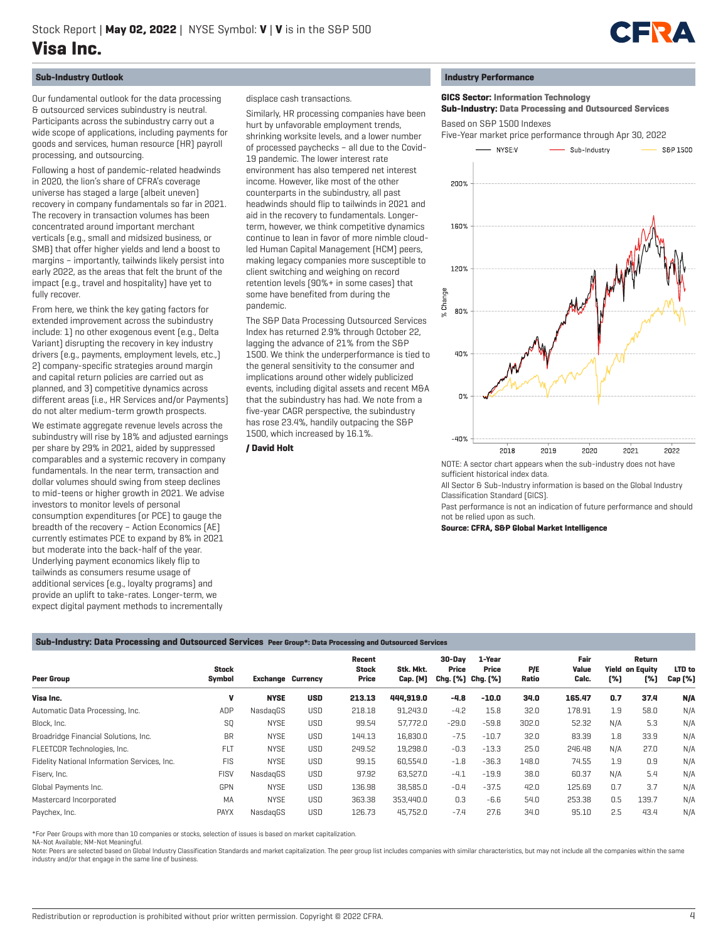

# **Sub-Industry Outlook**

Our fundamental outlook for the data processing & outsourced services subindustry is neutral. Participants across the subindustry carry out a wide scope of applications, including payments for goods and services, human resource (HR) payroll processing, and outsourcing.

Following a host of pandemic-related headwinds in 2020, the lion's share of CFRA's coverage universe has staged a large (albeit uneven) recovery in company fundamentals so far in 2021. The recovery in transaction volumes has been concentrated around important merchant verticals (e.g., small and midsized business, or SMB) that offer higher yields and lend a boost to margins – importantly, tailwinds likely persist into early 2022, as the areas that felt the brunt of the impact (e.g., travel and hospitality) have yet to fully recover.

From here, we think the key gating factors for extended improvement across the subindustry include: 1) no other exogenous event (e.g., Delta Variant) disrupting the recovery in key industry drivers (e.g., payments, employment levels, etc.,) 2) company-specific strategies around margin and capital return policies are carried out as planned, and 3) competitive dynamics across different areas (i.e., HR Services and/or Payments) do not alter medium-term growth prospects.

We estimate aggregate revenue levels across the subindustry will rise by 18% and adjusted earnings per share by 29% in 2021, aided by suppressed comparables and a systemic recovery in company fundamentals. In the near term, transaction and dollar volumes should swing from steep declines to mid-teens or higher growth in 2021. We advise investors to monitor levels of personal consumption expenditures (or PCE) to gauge the breadth of the recovery – Action Economics (AE) currently estimates PCE to expand by 8% in 2021 but moderate into the back-half of the year. Underlying payment economics likely flip to tailwinds as consumers resume usage of additional services (e.g., loyalty programs) and provide an uplift to take-rates. Longer-term, we expect digital payment methods to incrementally

displace cash transactions.

Similarly, HR processing companies have been hurt by unfavorable employment trends, shrinking worksite levels, and a lower number of processed paychecks – all due to the Covid-19 pandemic. The lower interest rate environment has also tempered net interest income. However, like most of the other counterparts in the subindustry, all past headwinds should flip to tailwinds in 2021 and aid in the recovery to fundamentals. Longerterm, however, we think competitive dynamics continue to lean in favor of more nimble cloudled Human Capital Management (HCM) peers, making legacy companies more susceptible to client switching and weighing on record retention levels (90%+ in some cases) that some have benefited from during the pandemic.

The S&P Data Processing Outsourced Services Index has returned 2.9% through October 22, lagging the advance of 21% from the S&P 1500. We think the underperformance is tied to the general sensitivity to the consumer and implications around other widely publicized events, including digital assets and recent M&A that the subindustry has had. We note from a five-year CAGR perspective, the subindustry has rose 23.4%, handily outpacing the S&P 1500, which increased by 16.1%.

#### **/ David Holt**

#### **Industry Performance**

 **GICS Sector: Information Technology Sub-Industry: Data Processing and Outsourced Services** Based on S&P 1500 Indexes

 Five-Year market price performance through Apr 30, 2022 **NIVSE-V** Sub-Industry



sufficient historical index data. All Sector & Sub-Industry information is based on the Global Industry

Classification Standard (GICS).

Past performance is not an indication of future performance and should not be relied upon as such.

**Source: CFRA, S&P Global Market Intelligence**

### **Sub-Industry: Data Processing and Outsourced Services Peer Group\*: Data Processing and Outsourced Services**

| <b>Peer Group</b>                            | <b>Stock</b><br>Symbol | <b>Exchange Currency</b> |            | Recent<br><b>Stock</b><br>Price | Stk. Mkt.<br>Cap. [M] | 30-Dav<br>Price<br>Chg. [%] Chg. [%] | 1-Year<br>Price | P/E<br>Ratio | Fair<br>Value<br>Calc. | [%] | Return<br><b>Yield on Equity</b><br>[%] | LTD to<br>Cap (%) |
|----------------------------------------------|------------------------|--------------------------|------------|---------------------------------|-----------------------|--------------------------------------|-----------------|--------------|------------------------|-----|-----------------------------------------|-------------------|
| Visa Inc.                                    | V                      | <b>NYSE</b>              | <b>USD</b> | 213.13                          | 444.919.0             | $-4.8$                               | $-10.0$         | 34.0         | 165.47                 | 0.7 | 37.4                                    | N/A               |
| Automatic Data Processing, Inc.              | ADP                    | NasdagGS                 | <b>USD</b> | 218.18                          | 91,243.0              | $-4.2$                               | 15.8            | 32.0         | 178.91                 | 1.9 | 58.0                                    | N/A               |
| Block, Inc.                                  | SQ                     | <b>NYSE</b>              | <b>USD</b> | 99.54                           | 57.772.0              | $-29.0$                              | $-59.8$         | 302.0        | 52.32                  | N/A | 5.3                                     | N/A               |
| Broadridge Financial Solutions, Inc.         | <b>BR</b>              | <b>NYSE</b>              | <b>USD</b> | 144.13                          | 16.830.0              | $-7.5$                               | $-10.7$         | 32.0         | 83.39                  | 1.8 | 33.9                                    | N/A               |
| FLEETCOR Technologies, Inc.                  | <b>FLT</b>             | <b>NYSE</b>              | <b>USD</b> | 249.52                          | 19,298.0              | $-0.3$                               | $-13.3$         | 25.0         | 246.48                 | N/A | 27.0                                    | N/A               |
| Fidelity National Information Services, Inc. | <b>FIS</b>             | <b>NYSE</b>              | <b>USD</b> | 99.15                           | 60.554.0              | $-1.8$                               | $-36.3$         | 148.0        | 74.55                  | 1.9 | 0.9                                     | N/A               |
| Fiserv, Inc.                                 | <b>FISV</b>            | NasdagGS                 | <b>USD</b> | 97.92                           | 63,527.0              | $-4.1$                               | $-19.9$         | 38.0         | 60.37                  | N/A | 5.4                                     | N/A               |
| Global Payments Inc.                         | GPN                    | <b>NYSE</b>              | <b>USD</b> | 136.98                          | 38.585.0              | $-0.4$                               | $-37.5$         | 42.0         | 125.69                 | 0.7 | 3.7                                     | N/A               |
| Mastercard Incorporated                      | MA                     | <b>NYSE</b>              | <b>USD</b> | 363.38                          | 353,440.0             | 0.3                                  | $-6.6$          | 54.0         | 253.38                 | 0.5 | 139.7                                   | N/A               |
| Paychex, Inc.                                | <b>PAYX</b>            | NasdagGS                 | <b>USD</b> | 126.73                          | 45.752.0              | $-7.4$                               | 27.6            | 34.0         | 95.10                  | 2.5 | 43.4                                    | N/A               |

\*For Peer Groups with more than 10 companies or stocks, selection of issues is based on market capitalization.

NA-Not Available; NM-Not Meaningful.

Note: Peers are selected based on Global Industry Classification Standards and market capitalization. The peer group list includes companies with similar characteristics, but may not include all the companies within the sa industry and/or that engage in the same line of business.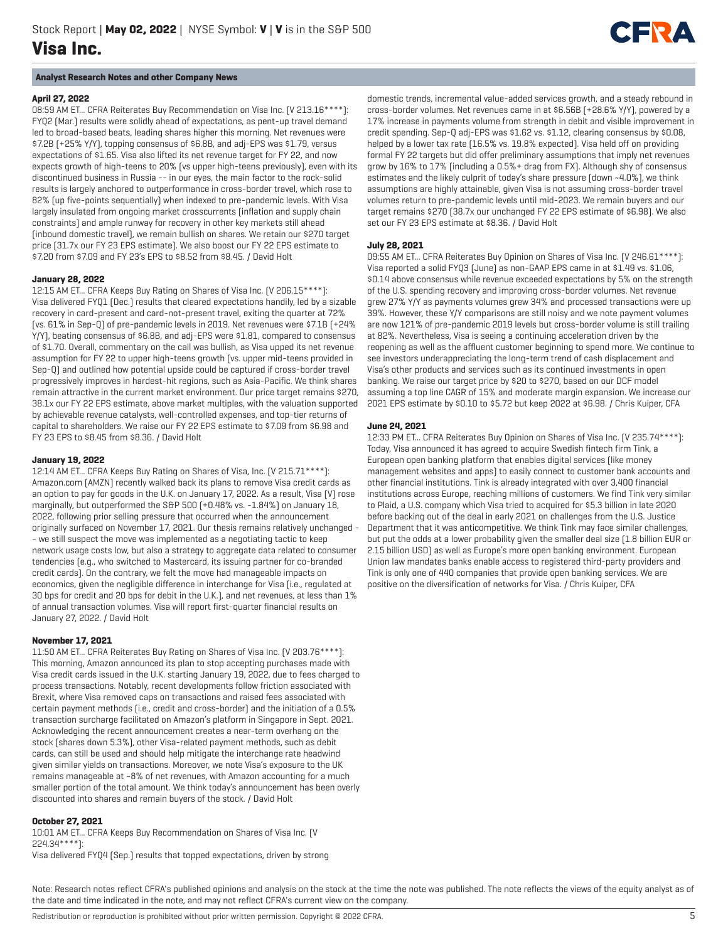# **Analyst Research Notes and other Company News**

# **April 27, 2022**

08:59 AM ET... CFRA Reiterates Buy Recommendation on Visa Inc. (V 213.16\*\*\*\*): FYQ2 (Mar.) results were solidly ahead of expectations, as pent-up travel demand led to broad-based beats, leading shares higher this morning. Net revenues were \$7.2B (+25% Y/Y), topping consensus of \$6.8B, and adj-EPS was \$1.79, versus expectations of \$1.65. Visa also lifted its net revenue target for FY 22, and now expects growth of high-teens to 20% (vs upper high-teens previously), even with its discontinued business in Russia -- in our eyes, the main factor to the rock-solid results is largely anchored to outperformance in cross-border travel, which rose to 82% (up five-points sequentially) when indexed to pre-pandemic levels. With Visa largely insulated from ongoing market crosscurrents (inflation and supply chain constraints) and ample runway for recovery in other key markets still ahead (inbound domestic travel), we remain bullish on shares. We retain our \$270 target price (31.7x our FY 23 EPS estimate). We also boost our FY 22 EPS estimate to \$7.20 from \$7.09 and FY 23's EPS to \$8.52 from \$8.45. / David Holt

#### **January 28, 2022**

12:15 AM ET... CFRA Keeps Buy Rating on Shares of Visa Inc. (V 206.15\*\*\*\*): Visa delivered FYQ1 (Dec.) results that cleared expectations handily, led by a sizable recovery in card-present and card-not-present travel, exiting the quarter at 72% (vs. 61% in Sep-Q) of pre-pandemic levels in 2019. Net revenues were \$7.1B (+24% Y/Y), beating consensus of \$6.8B, and adj-EPS were \$1.81, compared to consensus of \$1.70. Overall, commentary on the call was bullish, as Visa upped its net revenue assumption for FY 22 to upper high-teens growth (vs. upper mid-teens provided in Sep-Q) and outlined how potential upside could be captured if cross-border travel progressively improves in hardest-hit regions, such as Asia-Pacific. We think shares remain attractive in the current market environment. Our price target remains \$270, 38.1x our FY 22 EPS estimate, above market multiples, with the valuation supported by achievable revenue catalysts, well-controlled expenses, and top-tier returns of capital to shareholders. We raise our FY 22 EPS estimate to \$7.09 from \$6.98 and FY 23 EPS to \$8.45 from \$8.36. / David Holt

#### **January 19, 2022**

12:14 AM ET... CFRA Keeps Buy Rating on Shares of Visa, Inc. (V 215.71\*\*\*\*): Amazon.com (AMZN) recently walked back its plans to remove Visa credit cards as an option to pay for goods in the U.K. on January 17, 2022. As a result, Visa (V) rose marginally, but outperformed the S&P 500 (+0.48% vs. -1.84%) on January 18, 2022, following prior selling pressure that occurred when the announcement originally surfaced on November 17, 2021. Our thesis remains relatively unchanged - - we still suspect the move was implemented as a negotiating tactic to keep network usage costs low, but also a strategy to aggregate data related to consumer tendencies (e.g., who switched to Mastercard, its issuing partner for co-branded credit cards). On the contrary, we felt the move had manageable impacts on economics, given the negligible difference in interchange for Visa (i.e., regulated at 30 bps for credit and 20 bps for debit in the U.K.), and net revenues, at less than 1% of annual transaction volumes. Visa will report first-quarter financial results on January 27, 2022. / David Holt

# **November 17, 2021**

11:50 AM ET... CFRA Reiterates Buy Rating on Shares of Visa Inc. (V 203.76\*\*\*\*): This morning, Amazon announced its plan to stop accepting purchases made with Visa credit cards issued in the U.K. starting January 19, 2022, due to fees charged to process transactions. Notably, recent developments follow friction associated with Brexit, where Visa removed caps on transactions and raised fees associated with certain payment methods (i.e., credit and cross-border) and the initiation of a 0.5% transaction surcharge facilitated on Amazon's platform in Singapore in Sept. 2021. Acknowledging the recent announcement creates a near-term overhang on the stock (shares down 5.3%), other Visa-related payment methods, such as debit cards, can still be used and should help mitigate the interchange rate headwind given similar yields on transactions. Moreover, we note Visa's exposure to the UK remains manageable at ~8% of net revenues, with Amazon accounting for a much smaller portion of the total amount. We think today's announcement has been overly discounted into shares and remain buyers of the stock. / David Holt

## **October 27, 2021**

10:01 AM ET... CFRA Keeps Buy Recommendation on Shares of Visa Inc. (V 224.34\*\*\*\*): Visa delivered FYQ4 (Sep.) results that topped expectations, driven by strong domestic trends, incremental value-added services growth, and a steady rebound in cross-border volumes. Net revenues came in at \$6.56B (+28.6% Y/Y), powered by a 17% increase in payments volume from strength in debit and visible improvement in credit spending. Sep-Q adj-EPS was \$1.62 vs. \$1.12, clearing consensus by \$0.08, helped by a lower tax rate (16.5% vs. 19.8% expected). Visa held off on providing formal FY 22 targets but did offer preliminary assumptions that imply net revenues grow by 16% to 17% (including a 0.5%+ drag from FX). Although shy of consensus estimates and the likely culprit of today's share pressure (down ~4.0%), we think assumptions are highly attainable, given Visa is not assuming cross-border travel volumes return to pre-pandemic levels until mid-2023. We remain buyers and our target remains \$270 (38.7x our unchanged FY 22 EPS estimate of \$6.98). We also set our FY 23 EPS estimate at \$8.36. / David Holt

**CERTIFICATE** 

# **July 28, 2021**

09:55 AM ET... CFRA Reiterates Buy Opinion on Shares of Visa Inc. (V 246.61\*\*\*\*): Visa reported a solid FYQ3 (June) as non-GAAP EPS came in at \$1.49 vs. \$1.06, \$0.14 above consensus while revenue exceeded expectations by 5% on the strength of the U.S. spending recovery and improving cross-border volumes. Net revenue grew 27% Y/Y as payments volumes grew 34% and processed transactions were up 39%. However, these Y/Y comparisons are still noisy and we note payment volumes are now 121% of pre-pandemic 2019 levels but cross-border volume is still trailing at 82%. Nevertheless, Visa is seeing a continuing acceleration driven by the reopening as well as the affluent customer beginning to spend more. We continue to see investors underappreciating the long-term trend of cash displacement and Visa's other products and services such as its continued investments in open banking. We raise our target price by \$20 to \$270, based on our DCF model assuming a top line CAGR of 15% and moderate margin expansion. We increase our 2021 EPS estimate by \$0.10 to \$5.72 but keep 2022 at \$6.98. / Chris Kuiper, CFA

#### **June 24, 2021**

12:33 PM ET... CFRA Reiterates Buy Opinion on Shares of Visa Inc. (V 235.74\*\*\*\*): Today, Visa announced it has agreed to acquire Swedish fintech firm Tink, a European open banking platform that enables digital services (like money management websites and apps) to easily connect to customer bank accounts and other financial institutions. Tink is already integrated with over 3,400 financial institutions across Europe, reaching millions of customers. We find Tink very similar to Plaid, a U.S. company which Visa tried to acquired for \$5.3 billion in late 2020 before backing out of the deal in early 2021 on challenges from the U.S. Justice Department that it was anticompetitive. We think Tink may face similar challenges, but put the odds at a lower probability given the smaller deal size (1.8 billion EUR or 2.15 billion USD) as well as Europe's more open banking environment. European Union law mandates banks enable access to registered third-party providers and Tink is only one of 440 companies that provide open banking services. We are positive on the diversification of networks for Visa. / Chris Kuiper, CFA

Note: Research notes reflect CFRA's published opinions and analysis on the stock at the time the note was published. The note reflects the views of the equity analyst as of the date and time indicated in the note, and may not reflect CFRA's current view on the company.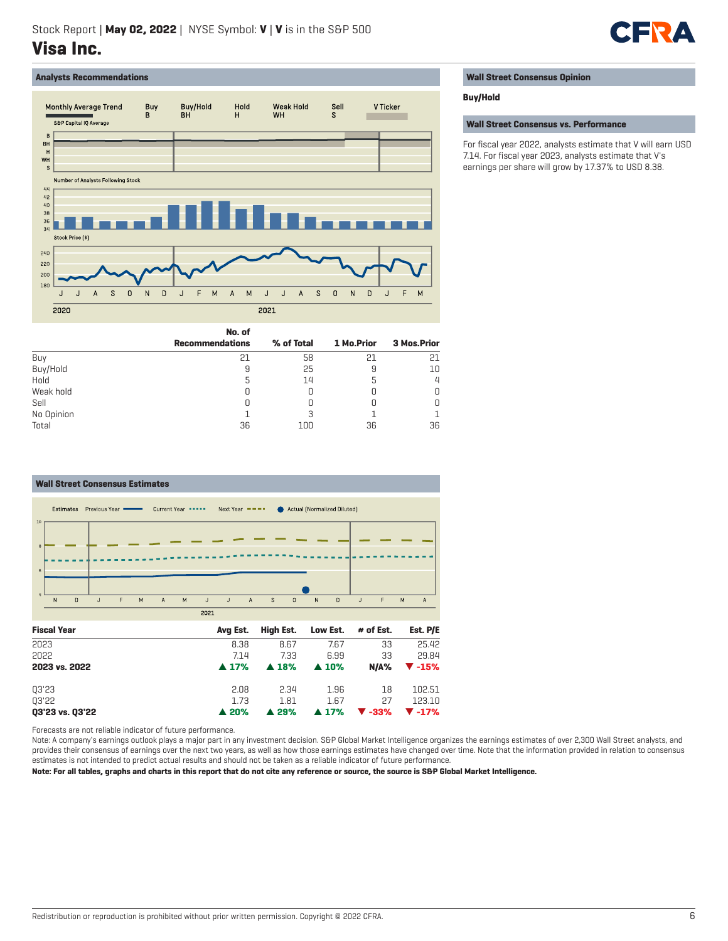

# **Analysts Recommendations**



**No. of**

Buy 21 58 21 21 Buy/Hold 9 25 9 10 Hold 5 14 5 4 Weak hold 0 0 0 0 Sell 0 0 0 0 No Opinion and the contract of  $\begin{array}{ccccccccc} & 1 & & & 3 & & & 1 & & & 1 \end{array}$ Total 36 100 36 36

**Recommendations % of Total 1 Mo.Prior 3 Mos.Prior**

| <b>Wall Street Consensus Opinion</b> |  |
|--------------------------------------|--|
|--------------------------------------|--|

#### **Buy/Hold**

**Wall Street Consensus vs. Performance**

For fiscal year 2022, analysts estimate that V will earn USD 7.14. For fiscal year 2023, analysts estimate that V's earnings per share will grow by 17.37% to USD 8.38.

|  | Wald Object October 2005 Fisher that |  |
|--|--------------------------------------|--|



Forecasts are not reliable indicator of future performance.

Note: A company's earnings outlook plays a major part in any investment decision. S&P Global Market Intelligence organizes the earnings estimates of over 2,300 Wall Street analysts, and provides their consensus of earnings over the next two years, as well as how those earnings estimates have changed over time. Note that the information provided in relation to consensus estimates is not intended to predict actual results and should not be taken as a reliable indicator of future performance.

**Note: For all tables, graphs and charts in this report that do not cite any reference or source, the source is S&P Global Market Intelligence.**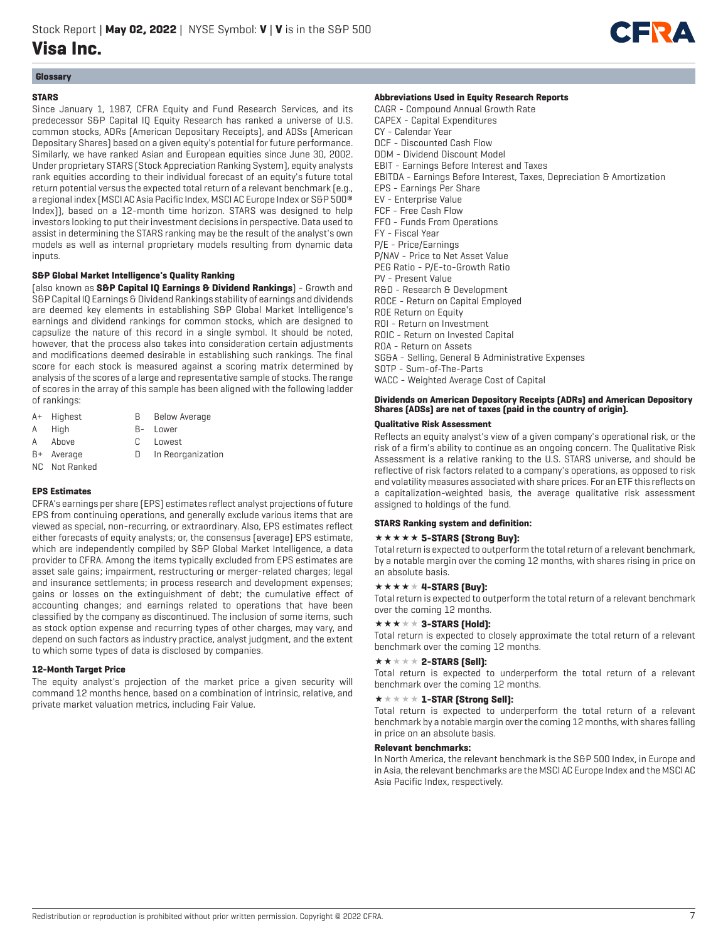

# **Glossary**

# **STARS**

Since January 1, 1987, CFRA Equity and Fund Research Services, and its predecessor S&P Capital IQ Equity Research has ranked a universe of U.S. common stocks, ADRs (American Depositary Receipts), and ADSs (American Depositary Shares) based on a given equity's potential for future performance. Similarly, we have ranked Asian and European equities since June 30, 2002. Under proprietary STARS (Stock Appreciation Ranking System), equity analysts rank equities according to their individual forecast of an equity's future total return potential versus the expected total return of a relevant benchmark (e.g., a regional index (MSCI AC Asia Pacific Index, MSCI AC Europe Index or S&P 500® Index)), based on a 12-month time horizon. STARS was designed to help investors looking to put their investment decisions in perspective. Data used to assist in determining the STARS ranking may be the result of the analyst's own models as well as internal proprietary models resulting from dynamic data inputs.

# **S&P Global Market Intelligence's Quality Ranking**

(also known as **S&P Capital IQ Earnings & Dividend Rankings**) - Growth and S&P Capital IQ Earnings & Dividend Rankings stability of earnings and dividends are deemed key elements in establishing S&P Global Market Intelligence's earnings and dividend rankings for common stocks, which are designed to capsulize the nature of this record in a single symbol. It should be noted, however, that the process also takes into consideration certain adjustments and modifications deemed desirable in establishing such rankings. The final score for each stock is measured against a scoring matrix determined by analysis of the scores of a large and representative sample of stocks. The range of scores in the array of this sample has been aligned with the following ladder of rankings:

- A+ Highest B Below Average
- A High B- Lower
- A Above C Lowest
- 
- B+ Average D In Reorganization
- NC Not Ranked

# **EPS Estimates**

CFRA's earnings per share (EPS) estimates reflect analyst projections of future EPS from continuing operations, and generally exclude various items that are viewed as special, non-recurring, or extraordinary. Also, EPS estimates reflect either forecasts of equity analysts; or, the consensus (average) EPS estimate, which are independently compiled by S&P Global Market Intelligence, a data provider to CFRA. Among the items typically excluded from EPS estimates are asset sale gains; impairment, restructuring or merger-related charges; legal and insurance settlements; in process research and development expenses; gains or losses on the extinguishment of debt; the cumulative effect of accounting changes; and earnings related to operations that have been classified by the company as discontinued. The inclusion of some items, such as stock option expense and recurring types of other charges, may vary, and depend on such factors as industry practice, analyst judgment, and the extent to which some types of data is disclosed by companies.

# **12-Month Target Price**

The equity analyst's projection of the market price a given security will command 12 months hence, based on a combination of intrinsic, relative, and private market valuation metrics, including Fair Value.

### **Abbreviations Used in Equity Research Reports**

CAGR - Compound Annual Growth Rate CAPEX - Capital Expenditures CY - Calendar Year DCF - Discounted Cash Flow DDM - Dividend Discount Model EBIT - Earnings Before Interest and Taxes EBITDA - Earnings Before Interest, Taxes, Depreciation & Amortization EPS - Earnings Per Share EV - Enterprise Value FCF - Free Cash Flow FFO - Funds From Operations FY - Fiscal Year P/E - Price/Earnings P/NAV - Price to Net Asset Value PEG Ratio - P/E-to-Growth Ratio PV - Present Value R&D - Research & Development ROCE - Return on Capital Employed ROE Return on Equity ROI - Return on Investment ROIC - Return on Invested Capital ROA - Return on Assets SG&A - Selling, General & Administrative Expenses SOTP - Sum-of-The-Parts WACC - Weighted Average Cost of Capital

## **Dividends on American Depository Receipts (ADRs) and American Depository Shares (ADSs) are net of taxes (paid in the country of origin).**

# **Qualitative Risk Assessment**

Reflects an equity analyst's view of a given company's operational risk, or the risk of a firm's ability to continue as an ongoing concern. The Qualitative Risk Assessment is a relative ranking to the U.S. STARS universe, and should be reflective of risk factors related to a company's operations, as opposed to risk and volatility measures associated with share prices. For an ETF this reflects on a capitalization-weighted basis, the average qualitative risk assessment assigned to holdings of the fund.

#### **STARS Ranking system and definition:**

# **\*\*\*\*\* 5-STARS (Strong Buy):**

Total return is expected to outperform the total return of a relevant benchmark, by a notable margin over the coming 12 months, with shares rising in price on an absolute basis.

# $\star \star \star \star \star 4$ -STARS [Buy]:

Total return is expected to outperform the total return of a relevant benchmark over the coming 12 months.

# $\star \star \star \star \star 3$ -STARS (Hold):

Total return is expected to closely approximate the total return of a relevant benchmark over the coming 12 months.

# $\star\star\star\star\star$  2-STARS [Sell]:

Total return is expected to underperform the total return of a relevant benchmark over the coming 12 months.

# $\star \star \star \star \star \mathbf{1}$ -STAR (Strong Sell):

Total return is expected to underperform the total return of a relevant benchmark by a notable margin over the coming 12 months, with shares falling in price on an absolute basis.

# **Relevant benchmarks:**

In North America, the relevant benchmark is the S&P 500 Index, in Europe and in Asia, the relevant benchmarks are the MSCI AC Europe Index and the MSCI AC Asia Pacific Index, respectively.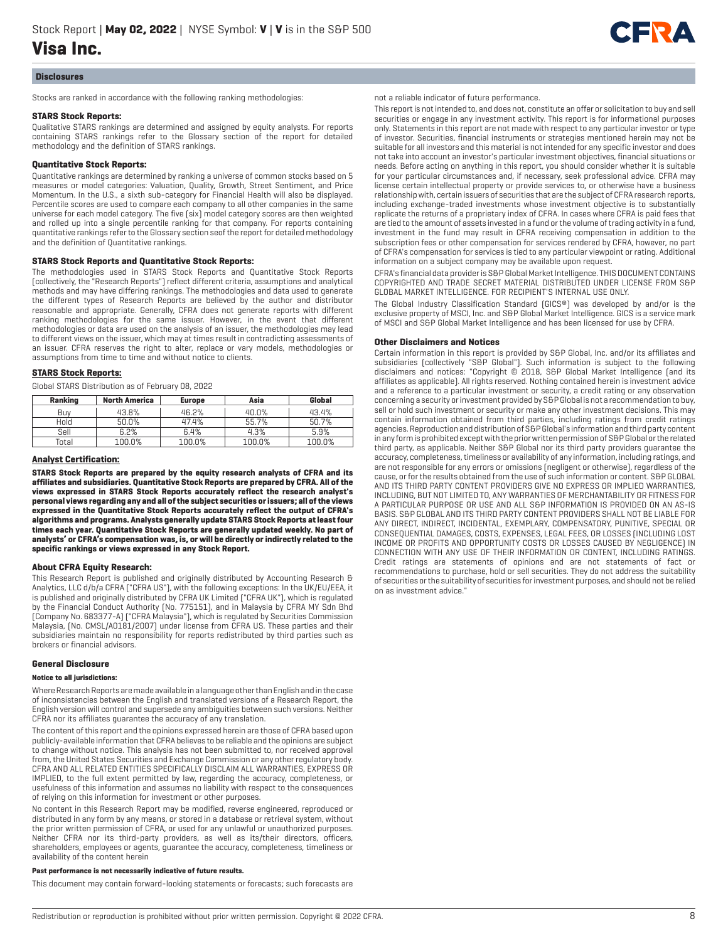

#### **Disclosures**

Stocks are ranked in accordance with the following ranking methodologies:

#### **STARS Stock Reports:**

Qualitative STARS rankings are determined and assigned by equity analysts. For reports containing STARS rankings refer to the Glossary section of the report for detailed methodology and the definition of STARS rankings.

#### **Quantitative Stock Reports:**

Quantitative rankings are determined by ranking a universe of common stocks based on 5 measures or model categories: Valuation, Quality, Growth, Street Sentiment, and Price Momentum. In the U.S., a sixth sub-category for Financial Health will also be displayed. Percentile scores are used to compare each company to all other companies in the same universe for each model category. The five (six) model category scores are then weighted and rolled up into a single percentile ranking for that company. For reports containing quantitative rankings refer to the Glossary section seof the report for detailed methodology and the definition of Quantitative rankings.

#### **STARS Stock Reports and Quantitative Stock Reports:**

The methodologies used in STARS Stock Reports and Quantitative Stock Reports (collectively, the "Research Reports") reflect different criteria, assumptions and analytical methods and may have differing rankings. The methodologies and data used to generate the different types of Research Reports are believed by the author and distributor reasonable and appropriate. Generally, CFRA does not generate reports with different ranking methodologies for the same issuer. However, in the event that different methodologies or data are used on the analysis of an issuer, the methodologies may lead to different views on the issuer, which may at times result in contradicting assessments of an issuer. CFRA reserves the right to alter, replace or vary models, methodologies or assumptions from time to time and without notice to clients.

#### **STARS Stock Reports:**

Global STARS Distribution as of February 08, 2022

| Ranking | <b>North America</b> | <b>Europe</b> | Asia   | Global |
|---------|----------------------|---------------|--------|--------|
| Buv     | 43.8%                | 46.2%         | 40.0%  | 43.4%  |
| Hold    | 50.0%                | 47.4%         | 55.7%  | 50.7%  |
| Sell    | 6.2%                 | 6.4%          | 4.3%   | 5.9%   |
| Total   | 100.0%               | 100.0%        | 100.0% | 100.0% |

#### **Analyst Certification:**

**STARS Stock Reports are prepared by the equity research analysts of CFRA and its affiliates and subsidiaries. Quantitative Stock Reports are prepared by CFRA. All of the views expressed in STARS Stock Reports accurately reflect the research analyst's personal views regarding any and all of the subject securities or issuers; all of the views expressed in the Quantitative Stock Reports accurately reflect the output of CFRA's algorithms and programs. Analysts generally update STARS Stock Reports at least four times each year. Quantitative Stock Reports are generally updated weekly. No part of analysts' or CFRA's compensation was, is, or will be directly or indirectly related to the specific rankings or views expressed in any Stock Report.**

#### **About CFRA Equity Research:**

This Research Report is published and originally distributed by Accounting Research & Analytics, LLC d/b/a CFRA ("CFRA US"), with the following exceptions: In the UK/EU/EEA, it is published and originally distributed by CFRA UK Limited ("CFRA UK"), which is regulated by the Financial Conduct Authority (No. 775151), and in Malaysia by CFRA MY Sdn Bhd (Company No. 683377-A) ("CFRA Malaysia"), which is regulated by Securities Commission Malaysia, (No. CMSL/A0181/2007) under license from CFRA US. These parties and their subsidiaries maintain no responsibility for reports redistributed by third parties such as brokers or financial advisors.

#### **General Disclosure**

#### **Notice to all jurisdictions:**

Where Research Reports are made available in a language other than English and in the case of inconsistencies between the English and translated versions of a Research Report, the English version will control and supersede any ambiguities between such versions. Neither CFRA nor its affiliates guarantee the accuracy of any translation.

The content of this report and the opinions expressed herein are those of CFRA based upon publicly-available information that CFRA believes to be reliable and the opinions are subject to change without notice. This analysis has not been submitted to, nor received approval from, the United States Securities and Exchange Commission or any other regulatory body. CFRA AND ALL RELATED ENTITIES SPECIFICALLY DISCLAIM ALL WARRANTIES, EXPRESS OR IMPLIED, to the full extent permitted by law, regarding the accuracy, completeness, or usefulness of this information and assumes no liability with respect to the consequences of relying on this information for investment or other purposes.

No content in this Research Report may be modified, reverse engineered, reproduced or distributed in any form by any means, or stored in a database or retrieval system, without the prior written permission of CFRA, or used for any unlawful or unauthorized purposes. Neither CFRA nor its third-party providers, as well as its/their directors, officers, shareholders, employees or agents, guarantee the accuracy, completeness, timeliness or availability of the content herein

#### **Past performance is not necessarily indicative of future results.**

This document may contain forward-looking statements or forecasts; such forecasts are

#### not a reliable indicator of future performance.

This report is not intended to, and does not, constitute an offer or solicitation to buy and sell securities or engage in any investment activity. This report is for informational purposes only. Statements in this report are not made with respect to any particular investor or type of investor. Securities, financial instruments or strategies mentioned herein may not be suitable for all investors and this material is not intended for any specific investor and does not take into account an investor's particular investment objectives, financial situations or needs. Before acting on anything in this report, you should consider whether it is suitable for your particular circumstances and, if necessary, seek professional advice. CFRA may license certain intellectual property or provide services to, or otherwise have a business relationship with, certain issuers of securities that are the subject of CFRA research reports, including exchange-traded investments whose investment objective is to substantially replicate the returns of a proprietary index of CFRA. In cases where CFRA is paid fees that are tied to the amount of assets invested in a fund or the volume of trading activity in a fund, investment in the fund may result in CFRA receiving compensation in addition to the subscription fees or other compensation for services rendered by CFRA, however, no part of CFRA's compensation for services is tied to any particular viewpoint or rating. Additional information on a subject company may be available upon request.

CFRA's financial data provider is S&P Global Market Intelligence. THIS DOCUMENT CONTAINS COPYRIGHTED AND TRADE SECRET MATERIAL DISTRIBUTED UNDER LICENSE FROM S&P GLOBAL MARKET INTELLIGENCE. FOR RECIPIENT'S INTERNAL USE ONLY.

The Global Industry Classification Standard (GICS®) was developed by and/or is the exclusive property of MSCI, Inc. and S&P Global Market Intelligence. GICS is a service mark of MSCI and S&P Global Market Intelligence and has been licensed for use by CFRA.

#### **Other Disclaimers and Notices**

Certain information in this report is provided by S&P Global, Inc. and/or its affiliates and subsidiaries (collectively "S&P Global"). Such information is subject to the following disclaimers and notices: "Copyright © 2018, S&P Global Market Intelligence (and its affiliates as applicable). All rights reserved. Nothing contained herein is investment advice and a reference to a particular investment or security, a credit rating or any observation concerning a security or investment provided by S&P Global is not a recommendation to buy, sell or hold such investment or security or make any other investment decisions. This may contain information obtained from third parties, including ratings from credit ratings agencies. Reproduction and distribution of S&P Global's information and third party content in any form is prohibited except with the prior written permission of S&P Global or the related third party, as applicable. Neither S&P Global nor its third party providers guarantee the accuracy, completeness, timeliness or availability of any information, including ratings, and are not responsible for any errors or omissions (negligent or otherwise), regardless of the cause, or for the results obtained from the use of such information or content. S&P GLOBAL AND ITS THIRD PARTY CONTENT PROVIDERS GIVE NO EXPRESS OR IMPLIED WARRANTIES, INCLUDING, BUT NOT LIMITED TO, ANY WARRANTIES OF MERCHANTABILITY OR FITNESS FOR A PARTICULAR PURPOSE OR USE AND ALL S&P INFORMATION IS PROVIDED ON AN AS-IS BASIS. S&P GLOBAL AND ITS THIRD PARTY CONTENT PROVIDERS SHALL NOT BE LIABLE FOR ANY DIRECT, INDIRECT, INCIDENTAL, EXEMPLARY, COMPENSATORY, PUNITIVE, SPECIAL OR CONSEQUENTIAL DAMAGES, COSTS, EXPENSES, LEGAL FEES, OR LOSSES (INCLUDING LOST INCOME OR PROFITS AND OPPORTUNITY COSTS OR LOSSES CAUSED BY NEGLIGENCE) IN CONNECTION WITH ANY USE OF THEIR INFORMATION OR CONTENT, INCLUDING RATINGS. Credit ratings are statements of opinions and are not statements of fact or recommendations to purchase, hold or sell securities. They do not address the suitability of securities or the suitability of securities for investment purposes, and should not be relied on as investment advice."